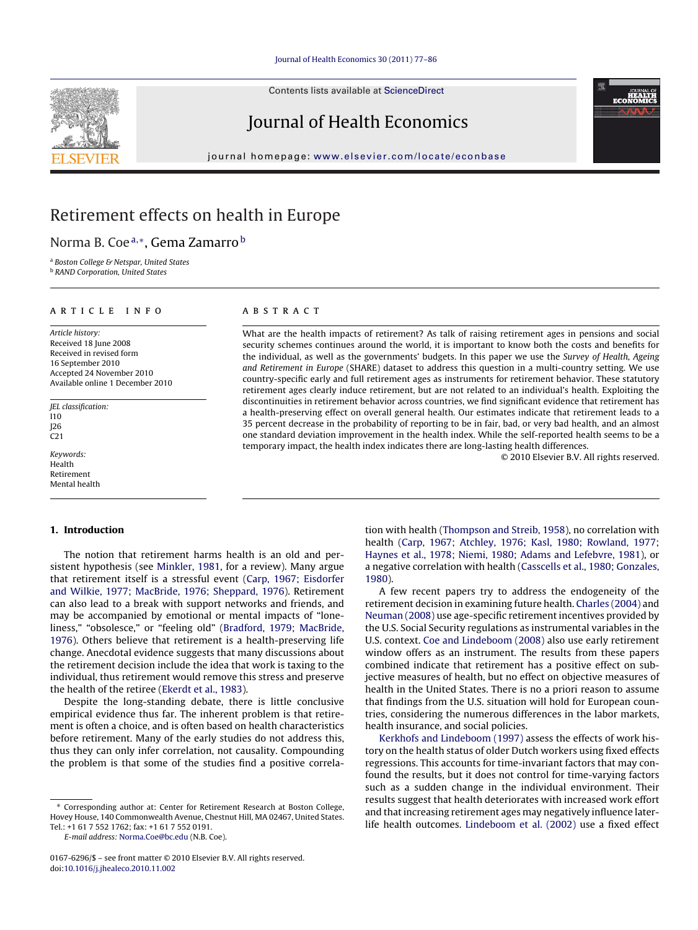### [Journal of Health Economics](dx.doi.org/10.1016/j.jhealeco.2010.11.002) 30 (2011) 77–86

Contents lists available at [ScienceDirect](http://www.sciencedirect.com/science/journal/01676296)

# Journal of Health Economics

journal homepage: [www.elsevier.com/locate/econbase](http://www.elsevier.com/locate/econbase)

# Retirement effects on health in Europe

Norma B. Coe<sup>a,∗</sup>, Gema Zamarro<sup>b</sup>

<sup>a</sup> Boston College & Netspar, United States <sup>b</sup> RAND Corporation, United States

### article info

Article history: Received 18 June 2008 Received in revised form 16 September 2010 Accepted 24 November 2010 Available online 1 December 2010

JEL classification: I10 J26  $C<sub>21</sub>$ 

Keywords: Health Retirement Mental health

### **1. Introduction**

The notion that retirement harms health is an old and persistent hypothesis (see [Minkler, 1981, f](#page-9-0)or a review). Many argue that retirement itself is a stressful event ([Carp, 1967; Eisdorfer](#page-8-0) [and Wilkie, 1977; MacBride, 1976; Sheppard, 1976\).](#page-8-0) Retirement can also lead to a break with support networks and friends, and may be accompanied by emotional or mental impacts of "loneliness," "obsolesce," or "feeling old" ([Bradford, 1979; MacBride,](#page-8-0) [1976\).](#page-8-0) Others believe that retirement is a health-preserving life change. Anecdotal evidence suggests that many discussions about the retirement decision include the idea that work is taxing to the individual, thus retirement would remove this stress and preserve the health of the retiree [\(Ekerdt et al., 1983\).](#page-9-0)

Despite the long-standing debate, there is little conclusive empirical evidence thus far. The inherent problem is that retirement is often a choice, and is often based on health characteristics before retirement. Many of the early studies do not address this, thus they can only infer correlation, not causality. Compounding the problem is that some of the studies find a positive correla-

E-mail address: [Norma.Coe@bc.edu](mailto:Norma.Coe@bc.edu) (N.B. Coe).

# A B S T R A C T

What are the health impacts of retirement? As talk of raising retirement ages in pensions and social security schemes continues around the world, it is important to know both the costs and benefits for the individual, as well as the governments' budgets. In this paper we use the Survey of Health, Ageing and Retirement in Europe (SHARE) dataset to address this question in a multi-country setting. We use country-specific early and full retirement ages as instruments for retirement behavior. These statutory retirement ages clearly induce retirement, but are not related to an individual's health. Exploiting the discontinuities in retirement behavior across countries, we find significant evidence that retirement has a health-preserving effect on overall general health. Our estimates indicate that retirement leads to a 35 percent decrease in the probability of reporting to be in fair, bad, or very bad health, and an almost one standard deviation improvement in the health index. While the self-reported health seems to be a temporary impact, the health index indicates there are long-lasting health differences.

© 2010 Elsevier B.V. All rights reserved.

tion with health [\(Thompson and Streib, 1958\),](#page-9-0) no correlation with health ([Carp, 1967; Atchley, 1976; Kasl, 1980; Rowland, 1977;](#page-8-0) [Haynes et al., 1978; Niemi, 1980; Adams and Lefebvre, 1981\),](#page-8-0) or a negative correlation with health ([Casscells et al., 1980; Gonzales,](#page-8-0) [1980\).](#page-8-0)

A few recent papers try to address the endogeneity of the retirement decision in examining future health. [Charles \(2004\)](#page-8-0) and [Neuman \(2008\)](#page-9-0) use age-specific retirement incentives provided by the U.S. Social Security regulations as instrumental variables in the U.S. context. [Coe and Lindeboom \(2008\)](#page-8-0) also use early retirement window offers as an instrument. The results from these papers combined indicate that retirement has a positive effect on subjective measures of health, but no effect on objective measures of health in the United States. There is no a priori reason to assume that findings from the U.S. situation will hold for European countries, considering the numerous differences in the labor markets, health insurance, and social policies.

[Kerkhofs and Lindeboom \(1997\)](#page-9-0) assess the effects of work history on the health status of older Dutch workers using fixed effects regressions. This accounts for time-invariant factors that may confound the results, but it does not control for time-varying factors such as a sudden change in the individual environment. Their results suggest that health deteriorates with increased work effort and that increasing retirement ages may negatively influence laterlife health outcomes. [Lindeboom et al. \(2002\)](#page-9-0) use a fixed effect



<sup>∗</sup> Corresponding author at: Center for Retirement Research at Boston College, Hovey House, 140 Commonwealth Avenue, Chestnut Hill, MA 02467, United States. Tel.: +1 61 7 552 1762; fax: +1 61 7 552 0191.

<sup>0167-6296/\$ –</sup> see front matter © 2010 Elsevier B.V. All rights reserved. doi:[10.1016/j.jhealeco.2010.11.002](dx.doi.org/10.1016/j.jhealeco.2010.11.002)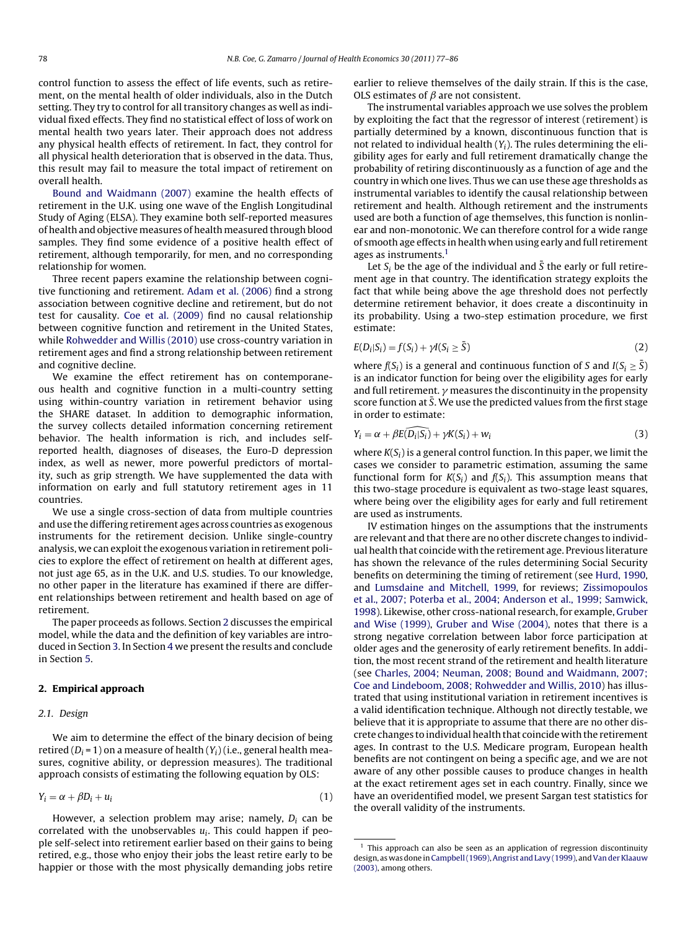<span id="page-1-0"></span>control function to assess the effect of life events, such as retirement, on the mental health of older individuals, also in the Dutch setting. They try to control for all transitory changes as well as individual fixed effects. They find no statistical effect of loss of work on mental health two years later. Their approach does not address any physical health effects of retirement. In fact, they control for all physical health deterioration that is observed in the data. Thus, this result may fail to measure the total impact of retirement on overall health.

[Bound and Waidmann \(2007\)](#page-8-0) examine the health effects of retirement in the U.K. using one wave of the English Longitudinal Study of Aging (ELSA). They examine both self-reported measures of health and objective measures of health measured through blood samples. They find some evidence of a positive health effect of retirement, although temporarily, for men, and no corresponding relationship for women.

Three recent papers examine the relationship between cognitive functioning and retirement. [Adam et al. \(2006\)](#page-8-0) find a strong association between cognitive decline and retirement, but do not test for causality. [Coe et al. \(2009\)](#page-8-0) find no causal relationship between cognitive function and retirement in the United States, while [Rohwedder and Willis \(2010\)](#page-9-0) use cross-country variation in retirement ages and find a strong relationship between retirement and cognitive decline.

We examine the effect retirement has on contemporaneous health and cognitive function in a multi-country setting using within-country variation in retirement behavior using the SHARE dataset. In addition to demographic information, the survey collects detailed information concerning retirement behavior. The health information is rich, and includes selfreported health, diagnoses of diseases, the Euro-D depression index, as well as newer, more powerful predictors of mortality, such as grip strength. We have supplemented the data with information on early and full statutory retirement ages in 11 countries.

We use a single cross-section of data from multiple countries and use the differing retirement ages across countries as exogenous instruments for the retirement decision. Unlike single-country analysis, we can exploit the exogenous variation in retirement policies to explore the effect of retirement on health at different ages, not just age 65, as in the U.K. and U.S. studies. To our knowledge, no other paper in the literature has examined if there are different relationships between retirement and health based on age of retirement.

The paper proceeds as follows. Section 2 discusses the empirical model, while the data and the definition of key variables are introduced in Section [3. I](#page-2-0)n Section [4](#page-5-0) we present the results and conclude in Section [5.](#page-8-0)

### **2. Empirical approach**

### 2.1. Design

We aim to determine the effect of the binary decision of being retired ( $D_i$  = 1) on a measure of health ( $Y_i$ ) (i.e., general health measures, cognitive ability, or depression measures). The traditional approach consists of estimating the following equation by OLS:

$$
Y_i = \alpha + \beta D_i + u_i \tag{1}
$$

However, a selection problem may arise; namely,  $D_i$  can be correlated with the unobservables  $u_i$ . This could happen if people self-select into retirement earlier based on their gains to being retired, e.g., those who enjoy their jobs the least retire early to be happier or those with the most physically demanding jobs retire earlier to relieve themselves of the daily strain. If this is the case, OLS estimates of  $\beta$  are not consistent.

The instrumental variables approach we use solves the problem by exploiting the fact that the regressor of interest (retirement) is partially determined by a known, discontinuous function that is not related to individual health  $(Y_i)$ . The rules determining the eligibility ages for early and full retirement dramatically change the probability of retiring discontinuously as a function of age and the country in which one lives. Thus we can use these age thresholds as instrumental variables to identify the causal relationship between retirement and health. Although retirement and the instruments used are both a function of age themselves, this function is nonlinear and non-monotonic. We can therefore control for a wide range of smooth age effects in health when using early and full retirement ages as instruments.<sup>1</sup>

Let  $S_i$  be the age of the individual and  $\bar{S}$  the early or full retirement age in that country. The identification strategy exploits the fact that while being above the age threshold does not perfectly determine retirement behavior, it does create a discontinuity in its probability. Using a two-step estimation procedure, we first estimate:

$$
E(D_i|S_i) = f(S_i) + \gamma I(S_i \ge \bar{S})
$$
\n(2)

where  $f(S_i)$  is a general and continuous function of S and  $I(S_i \geq \overline{S})$ is an indicator function for being over the eligibility ages for early and full retirement.  $\gamma$  measures the discontinuity in the propensity score function at  $\bar{S}$ . We use the predicted values from the first stage secre ranceion at s. v

$$
Y_i = \alpha + \beta E(D_i | S_i) + \gamma K(S_i) + w_i \tag{3}
$$

where  $K(S_i)$  is a general control function. In this paper, we limit the cases we consider to parametric estimation, assuming the same functional form for  $K(S_i)$  and  $f(S_i)$ . This assumption means that this two-stage procedure is equivalent as two-stage least squares, where being over the eligibility ages for early and full retirement are used as instruments.

IV estimation hinges on the assumptions that the instruments are relevant and that there are no other discrete changes to individual health that coincide with the retirement age. Previous literature has shown the relevance of the rules determining Social Security benefits on determining the timing of retirement (see [Hurd, 1990,](#page-9-0) and [Lumsdaine and Mitchell, 1999,](#page-9-0) for reviews; [Zissimopoulos](#page-9-0) [et al., 2007; Poterba et al., 2004; Anderson et al., 1999; Samwick,](#page-9-0) [1998\).](#page-9-0) Likewise, other cross-national research, for example, [Gruber](#page-9-0) [and Wise \(1999\),](#page-9-0) [Gruber and Wise \(2004\), n](#page-9-0)otes that there is a strong negative correlation between labor force participation at older ages and the generosity of early retirement benefits. In addition, the most recent strand of the retirement and health literature (see [Charles, 2004; Neuman, 2008; Bound and Waidmann, 2007;](#page-8-0) [Coe and Lindeboom, 2008; Rohwedder and Willis, 2010\)](#page-8-0) has illustrated that using institutional variation in retirement incentives is a valid identification technique. Although not directly testable, we believe that it is appropriate to assume that there are no other discrete changes to individual health that coincide with the retirement ages. In contrast to the U.S. Medicare program, European health benefits are not contingent on being a specific age, and we are not aware of any other possible causes to produce changes in health at the exact retirement ages set in each country. Finally, since we have an overidentified model, we present Sargan test statistics for the overall validity of the instruments.

<sup>&</sup>lt;sup>1</sup> This approach can also be seen as an application of regression discontinuity design, as was done in Campbell (1969), Angrist and Lavy (1999), and [Van der Klaauw](#page-9-0) [\(2003\), a](#page-9-0)mong others.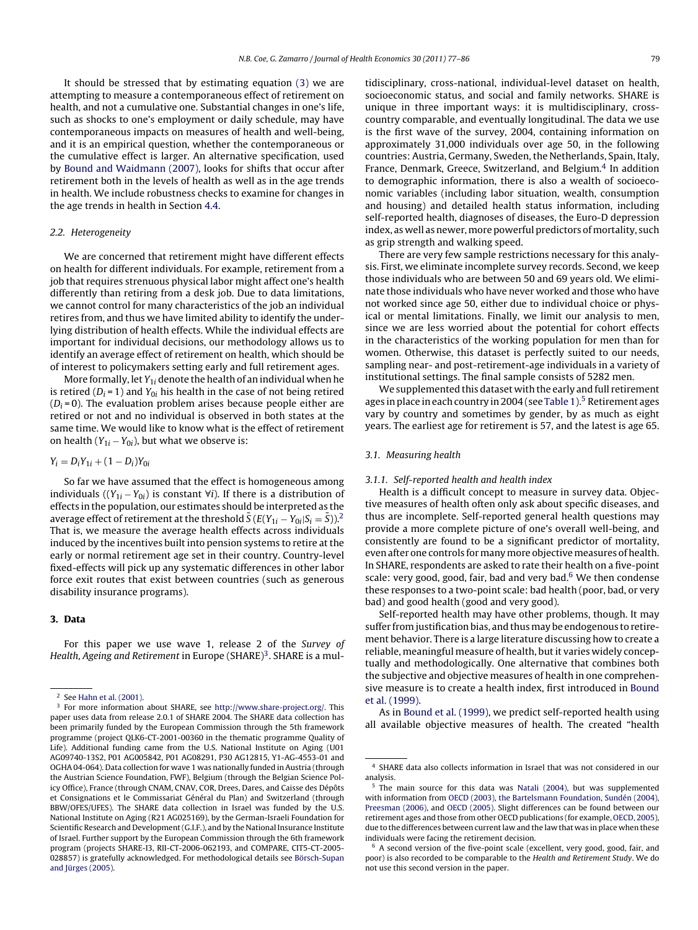<span id="page-2-0"></span>It should be stressed that by estimating equation [\(3\)](#page-1-0) we are attempting to measure a contemporaneous effect of retirement on health, and not a cumulative one. Substantial changes in one's life, such as shocks to one's employment or daily schedule, may have contemporaneous impacts on measures of health and well-being, and it is an empirical question, whether the contemporaneous or the cumulative effect is larger. An alternative specification, used by [Bound and Waidmann \(2007\),](#page-8-0) looks for shifts that occur after retirement both in the levels of health as well as in the age trends in health. We include robustness checks to examine for changes in the age trends in health in Section [4.4.](#page-7-0)

### 2.2. Heterogeneity

We are concerned that retirement might have different effects on health for different individuals. For example, retirement from a job that requires strenuous physical labor might affect one's health differently than retiring from a desk job. Due to data limitations, we cannot control for many characteristics of the job an individual retires from, and thus we have limited ability to identify the underlying distribution of health effects. While the individual effects are important for individual decisions, our methodology allows us to identify an average effect of retirement on health, which should be of interest to policymakers setting early and full retirement ages.

More formally, let  $Y_{1i}$  denote the health of an individual when he is retired ( $D_i$  = 1) and  $Y_{0i}$  his health in the case of not being retired  $(D<sub>i</sub>=0)$ . The evaluation problem arises because people either are retired or not and no individual is observed in both states at the same time. We would like to know what is the effect of retirement on health ( $Y_{1i} - Y_{0i}$ ), but what we observe is:

$$
Y_i = D_i Y_{1i} + (1 - D_i) Y_{0i}
$$

So far we have assumed that the effect is homogeneous among individuals ( $(Y_{1i} - Y_{0i})$  is constant ∀i). If there is a distribution of effects in the population, our estimates should be interpreted as the average effect of retirement at the threshold  $\bar{S}$  ( $E(Y_{1i} - Y_{0i}|S_i = \bar{S})$ ).<sup>2</sup> That is, we measure the average health effects across individuals induced by the incentives built into pension systems to retire at the early or normal retirement age set in their country. Country-level fixed-effects will pick up any systematic differences in other labor force exit routes that exist between countries (such as generous disability insurance programs).

# **3. Data**

For this paper we use wave 1, release 2 of the Survey of Health, Ageing and Retirement in Europe (SHARE)<sup>3</sup>. SHARE is a multidisciplinary, cross-national, individual-level dataset on health, socioeconomic status, and social and family networks. SHARE is unique in three important ways: it is multidisciplinary, crosscountry comparable, and eventually longitudinal. The data we use is the first wave of the survey, 2004, containing information on approximately 31,000 individuals over age 50, in the following countries: Austria, Germany, Sweden, the Netherlands, Spain, Italy, France, Denmark, Greece, Switzerland, and Belgium.<sup>4</sup> In addition to demographic information, there is also a wealth of socioeconomic variables (including labor situation, wealth, consumption and housing) and detailed health status information, including self-reported health, diagnoses of diseases, the Euro-D depression index, as well as newer, more powerful predictors of mortality, such as grip strength and walking speed.

There are very few sample restrictions necessary for this analysis. First, we eliminate incomplete survey records. Second, we keep those individuals who are between 50 and 69 years old. We eliminate those individuals who have never worked and those who have not worked since age 50, either due to individual choice or physical or mental limitations. Finally, we limit our analysis to men, since we are less worried about the potential for cohort effects in the characteristics of the working population for men than for women. Otherwise, this dataset is perfectly suited to our needs, sampling near- and post-retirement-age individuals in a variety of institutional settings. The final sample consists of 5282 men.

We supplemented this dataset with the early and full retirement ages in place in each country in 2004 (see [Table 1\).](#page-3-0)<sup>5</sup> Retirement ages vary by country and sometimes by gender, by as much as eight years. The earliest age for retirement is 57, and the latest is age 65.

### 3.1. Measuring health

### 3.1.1. Self-reported health and health index

Health is a difficult concept to measure in survey data. Objective measures of health often only ask about specific diseases, and thus are incomplete. Self-reported general health questions may provide a more complete picture of one's overall well-being, and consistently are found to be a significant predictor of mortality, even after one controls for many more objective measures of health. In SHARE, respondents are asked to rate their health on a five-point scale: very good, good, fair, bad and very bad. $^6$  We then condense these responses to a two-point scale: bad health (poor, bad, or very bad) and good health (good and very good).

Self-reported health may have other problems, though. It may suffer from justification bias, and thus may be endogenous to retirement behavior. There is a large literature discussing how to create a reliable, meaningful measure of health, but it varies widely conceptually and methodologically. One alternative that combines both the subjective and objective measures of health in one comprehensive measure is to create a health index, first introduced in [Bound](#page-8-0) [et al. \(1999\).](#page-8-0)

As in [Bound et al. \(1999\), w](#page-8-0)e predict self-reported health using all available objective measures of health. The created "health

<sup>2</sup> See [Hahn et al. \(2001\).](#page-9-0)

<sup>3</sup> For more information about SHARE, see [http://www.share-project.org/.](http://www.share-project.org/) This paper uses data from release 2.0.1 of SHARE 2004. The SHARE data collection has been primarily funded by the European Commission through the 5th framework programme (project QLK6-CT-2001-00360 in the thematic programme Quality of Life). Additional funding came from the U.S. National Institute on Aging (U01 AG09740-13S2, P01 AG005842, P01 AG08291, P30 AG12815, Y1-AG-4553-01 and OGHA 04-064). Data collection for wave 1 was nationally funded in Austria (through the Austrian Science Foundation, FWF), Belgium (through the Belgian Science Policy Office), France (through CNAM, CNAV, COR, Drees, Dares, and Caisse des Dépôts et Consignations et le Commissariat Général du Plan) and Switzerland (through BBW/OFES/UFES). The SHARE data collection in Israel was funded by the U.S. National Institute on Aging (R21 AG025169), by the German-Israeli Foundation for Scientific Research and Development (G.I.F.), and by the National Insurance Institute of Israel. Further support by the European Commission through the 6th framework program (projects SHARE-I3, RII-CT-2006-062193, and COMPARE, CIT5-CT-2005- 028857) is gratefully acknowledged. For methodological details see [Börsch-Supan](#page-8-0) [and Jürges \(2005\).](#page-8-0)

<sup>4</sup> SHARE data also collects information in Israel that was not considered in our analysis.

<sup>5</sup> The main source for this data was [Natali \(2004\),](#page-9-0) but was supplemented with information from [OECD \(2003\),](#page-9-0) [the Bartelsmann Foundation,](#page-9-0) [Sundén \(2004\),](#page-9-0) [Preesman \(2006\), a](#page-9-0)nd [OECD \(2005\). S](#page-9-0)light differences can be found between our retirement ages and those from other OECD publications (for example, [OECD, 2005\),](#page-9-0) due to the differences between current law and the law that was in place when these individuals were facing the retirement decision.

<sup>6</sup> A second version of the five-point scale (excellent, very good, good, fair, and poor) is also recorded to be comparable to the Health and Retirement Study. We do not use this second version in the paper.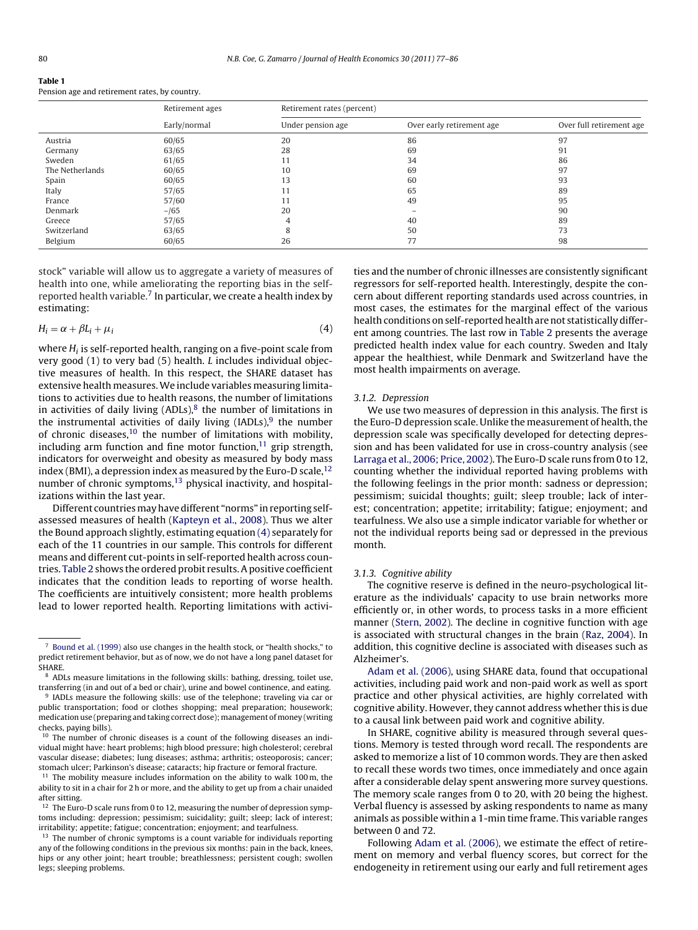<span id="page-3-0"></span>

| Table 1                                       |  |
|-----------------------------------------------|--|
| Pension age and retirement rates, by country. |  |

|                 | Retirement ages | Retirement rates (percent) |                           |                          |  |  |
|-----------------|-----------------|----------------------------|---------------------------|--------------------------|--|--|
|                 | Early/normal    | Under pension age          | Over early retirement age | Over full retirement age |  |  |
| Austria         | 60/65           | 20                         | 86                        | 97                       |  |  |
| Germany         | 63/65           | 28                         | 69                        | 91                       |  |  |
| Sweden          | 61/65           | 11                         | 34                        | 86                       |  |  |
| The Netherlands | 60/65           | 10                         | 69                        | 97                       |  |  |
| Spain           | 60/65           | 13                         | 60                        | 93                       |  |  |
| Italy           | 57/65           | 11                         | 65                        | 89                       |  |  |
| France          | 57/60           | 11                         | 49                        | 95                       |  |  |
| Denmark         | $-165$          | 20                         |                           | 90                       |  |  |
| Greece          | 57/65           | 4                          | 40                        | 89                       |  |  |
| Switzerland     | 63/65           | 8                          | 50                        | 73                       |  |  |
| Belgium         | 60/65           | 26                         | 77                        | 98                       |  |  |

stock" variable will allow us to aggregate a variety of measures of health into one, while ameliorating the reporting bias in the selfreported health variable.<sup>7</sup> In particular, we create a health index by estimating:

$$
H_i = \alpha + \beta L_i + \mu_i \tag{4}
$$

where  $H_i$  is self-reported health, ranging on a five-point scale from very good (1) to very bad (5) health. L includes individual objective measures of health. In this respect, the SHARE dataset has extensive health measures.We include variables measuring limitations to activities due to health reasons, the number of limitations in activities of daily living (ADLs), $8$  the number of limitations in the instrumental activities of daily living  $(IAD Ls)<sup>9</sup>$  the number of chronic diseases, $10$  the number of limitations with mobility, including arm function and fine motor function, $11$  grip strength, indicators for overweight and obesity as measured by body mass index (BMI), a depression index as measured by the Euro-D scale,  $12$ number of chronic symptoms,<sup>13</sup> physical inactivity, and hospitalizations within the last year.

Different countries may have different "norms" in reporting selfassessed measures of health [\(Kapteyn et al., 2008\).](#page-9-0) Thus we alter the Bound approach slightly, estimating equation (4) separately for each of the 11 countries in our sample. This controls for different means and different cut-points in self-reported health across countries. [Table 2](#page-4-0) shows the ordered probit results. A positive coefficient indicates that the condition leads to reporting of worse health. The coefficients are intuitively consistent; more health problems lead to lower reported health. Reporting limitations with activities and the number of chronic illnesses are consistently significant regressors for self-reported health. Interestingly, despite the concern about different reporting standards used across countries, in most cases, the estimates for the marginal effect of the various health conditions on self-reported health are not statistically different among countries. The last row in [Table 2](#page-4-0) presents the average predicted health index value for each country. Sweden and Italy appear the healthiest, while Denmark and Switzerland have the most health impairments on average.

### 3.1.2. Depression

We use two measures of depression in this analysis. The first is the Euro-D depression scale. Unlike the measurement of health, the depression scale was specifically developed for detecting depression and has been validated for use in cross-country analysis (see [Larraga et al., 2006; Price, 2002\).](#page-9-0) The Euro-D scale runs from 0 to 12, counting whether the individual reported having problems with the following feelings in the prior month: sadness or depression; pessimism; suicidal thoughts; guilt; sleep trouble; lack of interest; concentration; appetite; irritability; fatigue; enjoyment; and tearfulness. We also use a simple indicator variable for whether or not the individual reports being sad or depressed in the previous month.

### 3.1.3. Cognitive ability

The cognitive reserve is defined in the neuro-psychological literature as the individuals' capacity to use brain networks more efficiently or, in other words, to process tasks in a more efficient manner ([Stern, 2002\).](#page-9-0) The decline in cognitive function with age is associated with structural changes in the brain ([Raz, 2004\).](#page-9-0) In addition, this cognitive decline is associated with diseases such as Alzheimer's.

[Adam et al. \(2006\), u](#page-8-0)sing SHARE data, found that occupational activities, including paid work and non-paid work as well as sport practice and other physical activities, are highly correlated with cognitive ability. However, they cannot address whether this is due to a causal link between paid work and cognitive ability.

In SHARE, cognitive ability is measured through several questions. Memory is tested through word recall. The respondents are asked to memorize a list of 10 common words. They are then asked to recall these words two times, once immediately and once again after a considerable delay spent answering more survey questions. The memory scale ranges from 0 to 20, with 20 being the highest. Verbal fluency is assessed by asking respondents to name as many animals as possible within a 1-min time frame. This variable ranges between 0 and 72.

Following [Adam et al. \(2006\), w](#page-8-0)e estimate the effect of retirement on memory and verbal fluency scores, but correct for the endogeneity in retirement using our early and full retirement ages

<sup>7</sup> [Bound et al. \(1999\)](#page-8-0) also use changes in the health stock, or "health shocks," to predict retirement behavior, but as of now, we do not have a long panel dataset for SHARE.

<sup>8</sup> ADLs measure limitations in the following skills: bathing, dressing, toilet use, transferring (in and out of a bed or chair), urine and bowel continence, and eating.

<sup>&</sup>lt;sup>9</sup> IADLs measure the following skills: use of the telephone; traveling via car or public transportation; food or clothes shopping; meal preparation; housework; medication use (preparing and taking correct dose); management of money (writing checks, paying bills).

The number of chronic diseases is a count of the following diseases an individual might have: heart problems; high blood pressure; high cholesterol; cerebral vascular disease; diabetes; lung diseases; asthma; arthritis; osteoporosis; cancer; stomach ulcer; Parkinson's disease; cataracts; hip fracture or femoral fracture.

 $11$  The mobility measure includes information on the ability to walk 100 m, the ability to sit in a chair for 2 h or more, and the ability to get up from a chair unaided after sitting.

 $12$  The Euro-D scale runs from 0 to 12, measuring the number of depression symptoms including: depression; pessimism; suicidality; guilt; sleep; lack of interest; irritability; appetite; fatigue; concentration; enjoyment; and tearfulness.

<sup>&</sup>lt;sup>13</sup> The number of chronic symptoms is a count variable for individuals reporting any of the following conditions in the previous six months: pain in the back, knees, hips or any other joint; heart trouble; breathlessness; persistent cough; swollen legs; sleeping problems.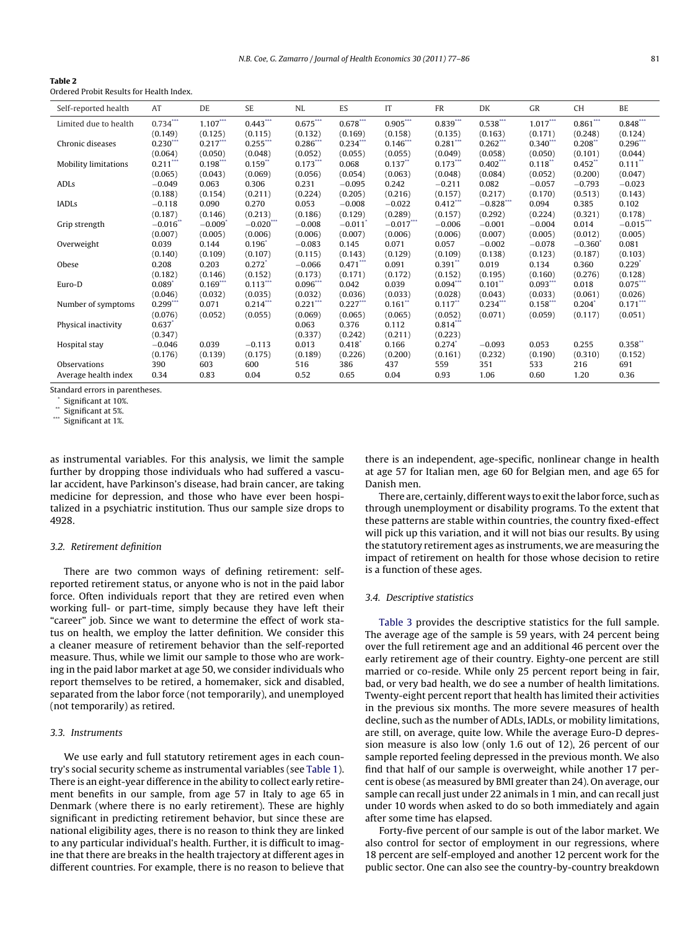<span id="page-4-0"></span>

| TADIC 4                                  |  |  |  |
|------------------------------------------|--|--|--|
| Ordered Probit Results for Health Index. |  |  |  |

| AT<br>Self-reported health  | DE                  | <b>SE</b>                            | NL         | ES                   | IT          | <b>FR</b>             | DK          | GR          | <b>CH</b>  | BE                    |
|-----------------------------|---------------------|--------------------------------------|------------|----------------------|-------------|-----------------------|-------------|-------------|------------|-----------------------|
| Limited due to health       | $0.734***$          | $1.107***$<br>$0.443***$             | $0.675***$ | $0.678***$           | $0.905***$  | $0.839***$            | $0.538***$  | $1.017***$  | $0.861***$ | $0.848***$            |
|                             | (0.149)             | (0.125)<br>(0.115)                   | (0.132)    | (0.169)              | (0.158)     | (0.135)               | (0.163)     | (0.171)     | (0.248)    | (0.124)               |
| Chronic diseases            | $0.230***$          | $0.217***$<br>$0.255***$             | $0.286***$ | $0.234***$           | $0.146***$  | $0.281***$            | $0.262***$  | $0.340$ *** | $0.208**$  | $0.296***$            |
|                             | (0.064)             | (0.050)<br>(0.048)                   | (0.052)    | (0.055)              | (0.055)     | (0.049)               | (0.058)     | (0.050)     | (0.101)    | (0.044)               |
| <b>Mobility limitations</b> | $0.211***$          | $0.198***$<br>$0.159$ **             | $0.173***$ | 0.068                | $0.137**$   | $0.173***$            | $0.402$ *** | $0.118$ **  | $0.452$ ** | $0.111$ <sup>**</sup> |
|                             | (0.065)             | (0.043)<br>(0.069)                   | (0.056)    | (0.054)              | (0.063)     | (0.048)               | (0.084)     | (0.052)     | (0.200)    | (0.047)               |
| ADLs                        | 0.063<br>$-0.049$   | 0.306                                | 0.231      | $-0.095$             | 0.242       | $-0.211$              | 0.082       | $-0.057$    | $-0.793$   | $-0.023$              |
|                             | (0.188)             | (0.154)<br>(0.211)                   | (0.224)    | (0.205)              | (0.216)     | (0.157)               | (0.217)     | (0.170)     | (0.513)    | (0.143)               |
| <b>IADLs</b>                | $-0.118$<br>0.090   | 0.270                                | 0.053      | $-0.008$             | $-0.022$    | $0.412***$            | $-0.828***$ | 0.094       | 0.385      | 0.102                 |
|                             | (0.187)             | (0.213)<br>(0.146)                   | (0.186)    | (0.129)              | (0.289)     | (0.157)               | (0.292)     | (0.224)     | (0.321)    | (0.178)               |
| Grip strength               | $-0.016$ **         | $-0.020***$<br>$-0.009$ <sup>*</sup> | $-0.008$   | $-0.011$             | $-0.017***$ | $-0.006$              | $-0.001$    | $-0.004$    | 0.014      | $-0.015***$           |
|                             | (0.007)             | (0.005)<br>(0.006)                   | (0.006)    | (0.007)              | (0.006)     | (0.006)               | (0.007)     | (0.005)     | (0.012)    | (0.005)               |
| Overweight                  | 0.039<br>0.144      | 0.196                                | $-0.083$   | 0.145                | 0.071       | 0.057                 | $-0.002$    | $-0.078$    | $-0.360$   | 0.081                 |
|                             | (0.140)             | (0.109)<br>(0.107)                   | (0.115)    | (0.143)              | (0.129)     | (0.109)               | (0.138)     | (0.123)     | (0.187)    | (0.103)               |
| Obese                       | 0.208<br>0.203      | $0.272$ <sup>*</sup>                 | $-0.066$   | $0.471***$           | 0.091       | $0.391$ <sup>**</sup> | 0.019       | 0.134       | 0.360      | $0.229$ <sup>*</sup>  |
|                             | (0.182)             | (0.146)<br>(0.152)                   | (0.173)    | (0.171)              | (0.172)     | (0.152)               | (0.195)     | (0.160)     | (0.276)    | (0.128)               |
| Euro-D                      | $0.089*$            | $0.169***$<br>$0.113***$             | $0.096***$ | 0.042                | 0.039       | $0.094***$            | $0.101$ **  | $0.093***$  | 0.018      | $0.075***$            |
|                             | (0.046)             | (0.035)<br>(0.032)                   | (0.032)    | (0.036)              | (0.033)     | (0.028)               | (0.043)     | (0.033)     | (0.061)    | (0.026)               |
| Number of symptoms          | $0.299***$<br>0.071 | $0.214***$                           | $0.221***$ | $0.227***$           | $0.161$ **  | $0.117$ **            | $0.234$ *** | $0.158$ *** | $0.204*$   | $0.171***$            |
|                             | (0.076)             | (0.052)<br>(0.055)                   | (0.069)    | (0.065)              | (0.065)     | (0.052)               | (0.071)     | (0.059)     | (0.117)    | (0.051)               |
| Physical inactivity         | $0.637*$            |                                      | 0.063      | 0.376                | 0.112       | $0.814***$            |             |             |            |                       |
|                             | (0.347)             |                                      | (0.337)    | (0.242)              | (0.211)     | (0.223)               |             |             |            |                       |
| Hospital stay               | $-0.046$<br>0.039   | $-0.113$                             | 0.013      | $0.418$ <sup>*</sup> | 0.166       | $0.274*$              | $-0.093$    | 0.053       | 0.255      | $0.358**$             |
|                             | (0.176)             | (0.139)<br>(0.175)                   | (0.189)    | (0.226)              | (0.200)     | (0.161)               | (0.232)     | (0.190)     | (0.310)    | (0.152)               |
| 390<br>Observations         | 603                 | 600                                  | 516        | 386                  | 437         | 559                   | 351         | 533         | 216        | 691                   |
| Average health index        | 0.34<br>0.83        | 0.04                                 | 0.52       | 0.65                 | 0.04        | 0.93                  | 1.06        | 0.60        | 1.20       | 0.36                  |

Standard errors in parentheses.

Significant at 5%.

as instrumental variables. For this analysis, we limit the sample further by dropping those individuals who had suffered a vascular accident, have Parkinson's disease, had brain cancer, are taking medicine for depression, and those who have ever been hospitalized in a psychiatric institution. Thus our sample size drops to 4928.

### 3.2. Retirement definition

There are two common ways of defining retirement: selfreported retirement status, or anyone who is not in the paid labor force. Often individuals report that they are retired even when working full- or part-time, simply because they have left their "career" job. Since we want to determine the effect of work status on health, we employ the latter definition. We consider this a cleaner measure of retirement behavior than the self-reported measure. Thus, while we limit our sample to those who are working in the paid labor market at age 50, we consider individuals who report themselves to be retired, a homemaker, sick and disabled, separated from the labor force (not temporarily), and unemployed (not temporarily) as retired.

# 3.3. Instruments

We use early and full statutory retirement ages in each country's social security scheme as instrumental variables (see [Table 1\).](#page-3-0) There is an eight-year difference in the ability to collect early retirement benefits in our sample, from age 57 in Italy to age 65 in Denmark (where there is no early retirement). These are highly significant in predicting retirement behavior, but since these are national eligibility ages, there is no reason to think they are linked to any particular individual's health. Further, it is difficult to imagine that there are breaks in the health trajectory at different ages in different countries. For example, there is no reason to believe that there is an independent, age-specific, nonlinear change in health at age 57 for Italian men, age 60 for Belgian men, and age 65 for Danish men.

There are, certainly, different ways to exit the labor force, such as through unemployment or disability programs. To the extent that these patterns are stable within countries, the country fixed-effect will pick up this variation, and it will not bias our results. By using the statutory retirement ages as instruments, we are measuring the impact of retirement on health for those whose decision to retire is a function of these ages.

# 3.4. Descriptive statistics

[Table 3](#page-5-0) provides the descriptive statistics for the full sample. The average age of the sample is 59 years, with 24 percent being over the full retirement age and an additional 46 percent over the early retirement age of their country. Eighty-one percent are still married or co-reside. While only 25 percent report being in fair, bad, or very bad health, we do see a number of health limitations. Twenty-eight percent report that health has limited their activities in the previous six months. The more severe measures of health decline, such as the number of ADLs, IADLs, or mobility limitations, are still, on average, quite low. While the average Euro-D depression measure is also low (only 1.6 out of 12), 26 percent of our sample reported feeling depressed in the previous month. We also find that half of our sample is overweight, while another 17 percent is obese (as measured by BMI greater than 24). On average, our sample can recall just under 22 animals in 1 min, and can recall just under 10 words when asked to do so both immediately and again after some time has elapsed.

Forty-five percent of our sample is out of the labor market. We also control for sector of employment in our regressions, where 18 percent are self-employed and another 12 percent work for the public sector. One can also see the country-by-country breakdown

Significant at 10%.

<sup>\*\*\*</sup> Significant at 1%.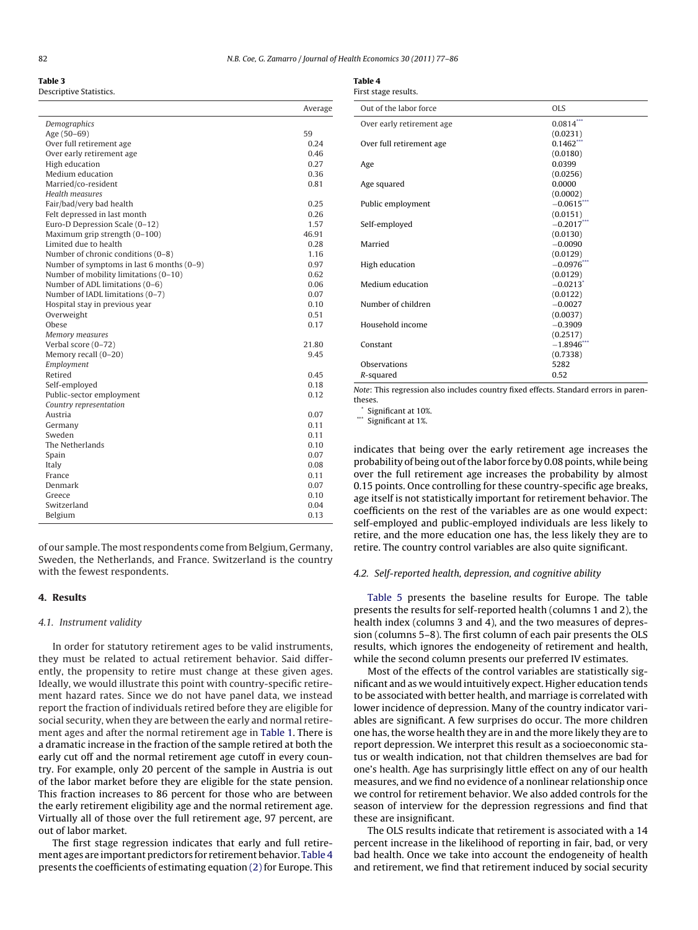<span id="page-5-0"></span>Descriptive Statistics.

|                                           | Average |
|-------------------------------------------|---------|
| Demographics                              |         |
| Age (50-69)                               | 59      |
| Over full retirement age                  | 0.24    |
| Over early retirement age                 | 0.46    |
| High education                            | 0.27    |
| Medium education                          | 0.36    |
| Married/co-resident                       | 0.81    |
| Health measures                           |         |
| Fair/bad/very bad health                  | 0.25    |
| Felt depressed in last month              | 0.26    |
| Euro-D Depression Scale (0-12)            | 1.57    |
| Maximum grip strength (0-100)             | 46.91   |
| Limited due to health                     | 0.28    |
| Number of chronic conditions (0-8)        | 1.16    |
| Number of symptoms in last 6 months (0-9) | 0.97    |
| Number of mobility limitations (0-10)     | 0.62    |
| Number of ADL limitations (0-6)           | 0.06    |
| Number of IADL limitations (0-7)          | 0.07    |
| Hospital stay in previous year            | 0.10    |
| Overweight                                | 0.51    |
| Obese                                     | 0.17    |
| Memory measures                           |         |
| Verbal score (0-72)                       | 21.80   |
| Memory recall (0-20)                      | 9.45    |
| Employment                                |         |
| Retired                                   | 0.45    |
| Self-employed                             | 0.18    |
| Public-sector employment                  | 0.12    |
| Country representation                    |         |
| Austria                                   | 0.07    |
| Germany                                   | 0.11    |
| Sweden                                    | 0.11    |
| The Netherlands                           | 0.10    |
| Spain                                     | 0.07    |
| Italy                                     | 0.08    |
| France                                    | 0.11    |
| Denmark                                   | 0.07    |
| Greece                                    | 0.10    |
| Switzerland                               | 0.04    |
| Belgium                                   | 0.13    |

of our sample. The most respondents come from Belgium, Germany, Sweden, the Netherlands, and France. Switzerland is the country with the fewest respondents.

# **4. Results**

### 4.1. Instrument validity

In order for statutory retirement ages to be valid instruments, they must be related to actual retirement behavior. Said differently, the propensity to retire must change at these given ages. Ideally, we would illustrate this point with country-specific retirement hazard rates. Since we do not have panel data, we instead report the fraction of individuals retired before they are eligible for social security, when they are between the early and normal retirement ages and after the normal retirement age in [Table 1. T](#page-3-0)here is a dramatic increase in the fraction of the sample retired at both the early cut off and the normal retirement age cutoff in every country. For example, only 20 percent of the sample in Austria is out of the labor market before they are eligible for the state pension. This fraction increases to 86 percent for those who are between the early retirement eligibility age and the normal retirement age. Virtually all of those over the full retirement age, 97 percent, are out of labor market.

The first stage regression indicates that early and full retirement ages are important predictors for retirement behavior. Table 4 presents the coefficients of estimating equation [\(2\)](#page-1-0) for Europe. This

| Table 4              |
|----------------------|
| First stage results. |

| Out of the labor force<br><b>OLS</b><br>$0.0814***$<br>Over early retirement age<br>(0.0231)<br>$0.1462***$<br>Over full retirement age<br>(0.0180)<br>0.0399<br>Age<br>(0.0256)<br>0.0000<br>Age squared<br>(0.0002)<br>$-0.0615$ ***<br>Public employment<br>(0.0151)<br>$-0.2017***$<br>Self-employed<br>(0.0130)<br>Married<br>$-0.0090$<br>(0.0129)<br>$-0.0976$<br>High education<br>(0.0129)<br>$-0.0213$ <sup>*</sup><br>Medium education<br>(0.0122)<br>Number of children<br>$-0.0027$<br>(0.0037)<br>Household income<br>$-0.3909$<br>(0.2517)<br>$-1.8946$ ***<br>Constant<br>(0.7338)<br>Observations<br>5282<br>0.52<br>R-squared |  |
|-------------------------------------------------------------------------------------------------------------------------------------------------------------------------------------------------------------------------------------------------------------------------------------------------------------------------------------------------------------------------------------------------------------------------------------------------------------------------------------------------------------------------------------------------------------------------------------------------------------------------------------------------|--|
|                                                                                                                                                                                                                                                                                                                                                                                                                                                                                                                                                                                                                                                 |  |
|                                                                                                                                                                                                                                                                                                                                                                                                                                                                                                                                                                                                                                                 |  |
|                                                                                                                                                                                                                                                                                                                                                                                                                                                                                                                                                                                                                                                 |  |
|                                                                                                                                                                                                                                                                                                                                                                                                                                                                                                                                                                                                                                                 |  |
|                                                                                                                                                                                                                                                                                                                                                                                                                                                                                                                                                                                                                                                 |  |
|                                                                                                                                                                                                                                                                                                                                                                                                                                                                                                                                                                                                                                                 |  |
|                                                                                                                                                                                                                                                                                                                                                                                                                                                                                                                                                                                                                                                 |  |
|                                                                                                                                                                                                                                                                                                                                                                                                                                                                                                                                                                                                                                                 |  |
|                                                                                                                                                                                                                                                                                                                                                                                                                                                                                                                                                                                                                                                 |  |
|                                                                                                                                                                                                                                                                                                                                                                                                                                                                                                                                                                                                                                                 |  |
|                                                                                                                                                                                                                                                                                                                                                                                                                                                                                                                                                                                                                                                 |  |
|                                                                                                                                                                                                                                                                                                                                                                                                                                                                                                                                                                                                                                                 |  |
|                                                                                                                                                                                                                                                                                                                                                                                                                                                                                                                                                                                                                                                 |  |
|                                                                                                                                                                                                                                                                                                                                                                                                                                                                                                                                                                                                                                                 |  |
|                                                                                                                                                                                                                                                                                                                                                                                                                                                                                                                                                                                                                                                 |  |
|                                                                                                                                                                                                                                                                                                                                                                                                                                                                                                                                                                                                                                                 |  |
|                                                                                                                                                                                                                                                                                                                                                                                                                                                                                                                                                                                                                                                 |  |
|                                                                                                                                                                                                                                                                                                                                                                                                                                                                                                                                                                                                                                                 |  |
|                                                                                                                                                                                                                                                                                                                                                                                                                                                                                                                                                                                                                                                 |  |
|                                                                                                                                                                                                                                                                                                                                                                                                                                                                                                                                                                                                                                                 |  |
|                                                                                                                                                                                                                                                                                                                                                                                                                                                                                                                                                                                                                                                 |  |
|                                                                                                                                                                                                                                                                                                                                                                                                                                                                                                                                                                                                                                                 |  |
|                                                                                                                                                                                                                                                                                                                                                                                                                                                                                                                                                                                                                                                 |  |
|                                                                                                                                                                                                                                                                                                                                                                                                                                                                                                                                                                                                                                                 |  |
|                                                                                                                                                                                                                                                                                                                                                                                                                                                                                                                                                                                                                                                 |  |
|                                                                                                                                                                                                                                                                                                                                                                                                                                                                                                                                                                                                                                                 |  |
|                                                                                                                                                                                                                                                                                                                                                                                                                                                                                                                                                                                                                                                 |  |

Note: This regression also includes country fixed effects. Standard errors in parentheses.

\* Significant at 10%.

\*\*\* Significant at 1%.

indicates that being over the early retirement age increases the probability of being out of the labor force by 0.08 points, while being over the full retirement age increases the probability by almost 0.15 points. Once controlling for these country-specific age breaks, age itself is not statistically important for retirement behavior. The coefficients on the rest of the variables are as one would expect: self-employed and public-employed individuals are less likely to retire, and the more education one has, the less likely they are to retire. The country control variables are also quite significant.

### 4.2. Self-reported health, depression, and cognitive ability

[Table 5](#page-6-0) presents the baseline results for Europe. The table presents the results for self-reported health (columns 1 and 2), the health index (columns 3 and 4), and the two measures of depression (columns 5–8). The first column of each pair presents the OLS results, which ignores the endogeneity of retirement and health, while the second column presents our preferred IV estimates.

Most of the effects of the control variables are statistically significant and as we would intuitively expect. Higher education tends to be associated with better health, and marriage is correlated with lower incidence of depression. Many of the country indicator variables are significant. A few surprises do occur. The more children one has, the worse health they are in and the more likely they are to report depression. We interpret this result as a socioeconomic status or wealth indication, not that children themselves are bad for one's health. Age has surprisingly little effect on any of our health measures, and we find no evidence of a nonlinear relationship once we control for retirement behavior. We also added controls for the season of interview for the depression regressions and find that these are insignificant.

The OLS results indicate that retirement is associated with a 14 percent increase in the likelihood of reporting in fair, bad, or very bad health. Once we take into account the endogeneity of health and retirement, we find that retirement induced by social security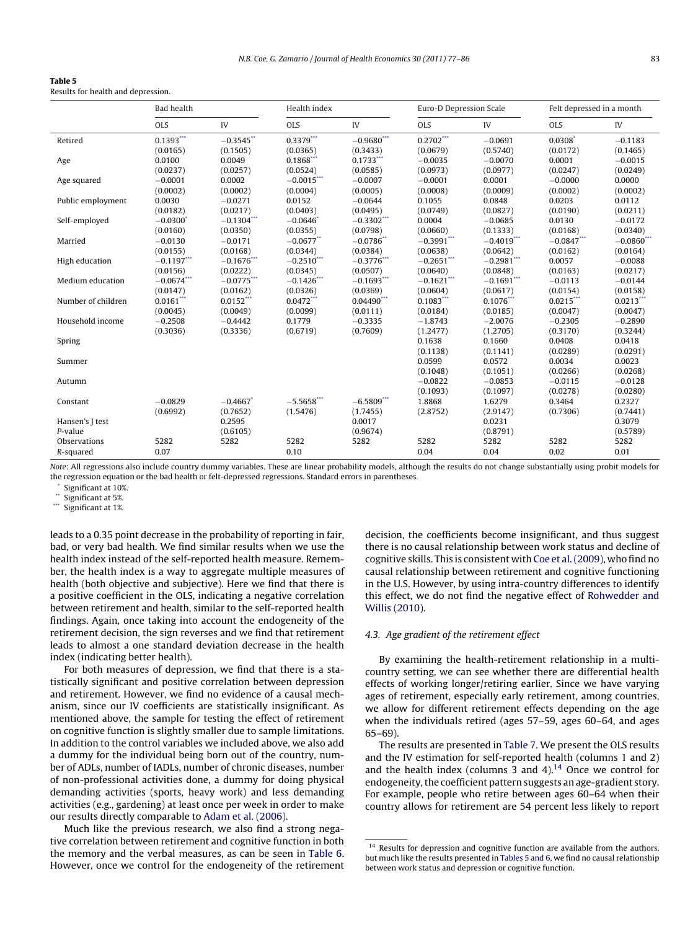<span id="page-6-0"></span>

| таріе э                            |  |  |  |
|------------------------------------|--|--|--|
| Results for health and depression. |  |  |  |

|                    | <b>Bad health</b>      |              | Health index           |              | Euro-D Depression Scale |               | Felt depressed in a month |              |
|--------------------|------------------------|--------------|------------------------|--------------|-------------------------|---------------|---------------------------|--------------|
|                    | <b>OLS</b>             | IV           | <b>OLS</b>             | IV           | <b>OLS</b>              | IV            | <b>OLS</b>                | IV           |
| Retired            | $0.1393***$            | $-0.3545$ ** | $0.3379***$            | $-0.9680***$ | $0.2702***$             | $-0.0691$     | $0.0308*$                 | $-0.1183$    |
|                    | (0.0165)               | (0.1505)     | (0.0365)               | (0.3433)     | (0.0679)                | (0.5740)      | (0.0172)                  | (0.1465)     |
| Age                | 0.0100                 | 0.0049       | $0.1868***$            | $0.1733***$  | $-0.0035$               | $-0.0070$     | 0.0001                    | $-0.0015$    |
|                    | (0.0237)               | (0.0257)     | (0.0524)               | (0.0585)     | (0.0973)                | (0.0977)      | (0.0247)                  | (0.0249)     |
| Age squared        | $-0.0001$              | 0.0002       | $-0.0015***$           | $-0.0007$    | $-0.0001$               | 0.0001        | $-0.0000$                 | 0.0000       |
|                    | (0.0002)               | (0.0002)     | (0.0004)               | (0.0005)     | (0.0008)                | (0.0009)      | (0.0002)                  | (0.0002)     |
| Public employment  | 0.0030                 | $-0.0271$    | 0.0152                 | $-0.0644$    | 0.1055                  | 0.0848        | 0.0203                    | 0.0112       |
|                    | (0.0182)               | (0.0217)     | (0.0403)               | (0.0495)     | (0.0749)                | (0.0827)      | (0.0190)                  | (0.0211)     |
| Self-employed      | $-0.0300$ <sup>*</sup> | $-0.1304***$ | $-0.0646$ <sup>*</sup> | $-0.3302***$ | 0.0004                  | $-0.0685$     | 0.0130                    | $-0.0172$    |
|                    | (0.0160)               | (0.0350)     | (0.0355)               | (0.0798)     | (0.0660)                | (0.1333)      | (0.0168)                  | (0.0340)     |
| Married            | $-0.0130$              | $-0.0171$    | $-0.0677$ **           | $-0.0786$ ** | $-0.3991$ ***           | $-0.4019***$  | $-0.0847***$              | $-0.0860***$ |
|                    | (0.0155)               | (0.0168)     | (0.0344)               | (0.0384)     | (0.0638)                | (0.0642)      | (0.0162)                  | (0.0164)     |
| High education     | $-0.1197***$           | $-0.1676***$ | $-0.2510***$           | $-0.3776***$ | $-0.2651***$            | $-0.2981***$  | 0.0057                    | $-0.0088$    |
|                    | (0.0156)               | (0.0222)     | (0.0345)               | (0.0507)     | (0.0640)                | (0.0848)      | (0.0163)                  | (0.0217)     |
| Medium education   | $-0.0674***$           | $-0.0775***$ | $-0.1426***$           | $-0.1693***$ | $-0.1621***$            | $-0.1691$ *** | $-0.0113$                 | $-0.0144$    |
|                    | (0.0147)               | (0.0162)     | (0.0326)               | (0.0369)     | (0.0604)                | (0.0617)      | (0.0154)                  | (0.0158)     |
| Number of children | $0.0161$ ***           | $0.0152***$  | $0.0472***$            | $0.04490***$ | $0.1083***$             | $0.1076***$   | $0.0215***$               | $0.0213***$  |
|                    | (0.0045)               | (0.0049)     | (0.0099)               | (0.0111)     | (0.0184)                | (0.0185)      | (0.0047)                  | (0.0047)     |
| Household income   | $-0.2508$              | $-0.4442$    | 0.1779                 | $-0.3335$    | $-1.8743$               | $-2.0076$     | $-0.2305$                 | $-0.2890$    |
|                    | (0.3036)               | (0.3336)     | (0.6719)               | (0.7609)     | (1.2477)                | (1.2705)      | (0.3170)                  | (0.3244)     |
| Spring             |                        |              |                        |              | 0.1638                  | 0.1660        | 0.0408                    | 0.0418       |
|                    |                        |              |                        |              | (0.1138)                | (0.1141)      | (0.0289)                  | (0.0291)     |
| Summer             |                        |              |                        |              | 0.0599                  | 0.0572        | 0.0034                    | 0.0023       |
|                    |                        |              |                        |              | (0.1048)                | (0.1051)      | (0.0266)                  | (0.0268)     |
| Autumn             |                        |              |                        |              | $-0.0822$               | $-0.0853$     | $-0.0115$                 | $-0.0128$    |
|                    |                        |              |                        |              | (0.1093)                | (0.1097)      | (0.0278)                  | (0.0280)     |
| Constant           | $-0.0829$              | $-0.4667$    | $-5.5658***$           | $-6.5809***$ | 1.8868                  | 1.6279        | 0.3464                    | 0.2327       |
|                    | (0.6992)               | (0.7652)     | (1.5476)               | (1.7455)     | (2.8752)                | (2.9147)      | (0.7306)                  | (0.7441)     |
| Hansen's J test    |                        | 0.2595       |                        | 0.0017       |                         | 0.0231        |                           | 0.3079       |
| P-value            |                        | (0.6105)     |                        | (0.9674)     |                         | (0.8791)      |                           | (0.5789)     |
| Observations       | 5282                   | 5282         | 5282                   | 5282         | 5282                    | 5282          | 5282                      | 5282         |
| R-squared          | 0.07                   |              | 0.10                   |              | 0.04                    | 0.04          | 0.02                      | 0.01         |

Note: All regressions also include country dummy variables. These are linear probability models, although the results do not change substantially using probit models for the regression equation or the bad health or felt-depressed regressions. Standard errors in parentheses.

Significant at 10%.

Significant at 5%.

Significant at 1%.

leads to a 0.35 point decrease in the probability of reporting in fair, bad, or very bad health. We find similar results when we use the health index instead of the self-reported health measure. Remember, the health index is a way to aggregate multiple measures of health (both objective and subjective). Here we find that there is a positive coefficient in the OLS, indicating a negative correlation between retirement and health, similar to the self-reported health findings. Again, once taking into account the endogeneity of the retirement decision, the sign reverses and we find that retirement leads to almost a one standard deviation decrease in the health index (indicating better health).

For both measures of depression, we find that there is a statistically significant and positive correlation between depression and retirement. However, we find no evidence of a causal mechanism, since our IV coefficients are statistically insignificant. As mentioned above, the sample for testing the effect of retirement on cognitive function is slightly smaller due to sample limitations. In addition to the control variables we included above, we also add a dummy for the individual being born out of the country, number of ADLs, number of IADLs, number of chronic diseases, number of non-professional activities done, a dummy for doing physical demanding activities (sports, heavy work) and less demanding activities (e.g., gardening) at least once per week in order to make our results directly comparable to [Adam et al. \(2006\).](#page-8-0)

Much like the previous research, we also find a strong negative correlation between retirement and cognitive function in both the memory and the verbal measures, as can be seen in [Table 6.](#page-7-0) However, once we control for the endogeneity of the retirement decision, the coefficients become insignificant, and thus suggest there is no causal relationship between work status and decline of cognitive skills. This is consistent with [Coe et al. \(2009\), w](#page-8-0)ho find no causal relationship between retirement and cognitive functioning in the U.S. However, by using intra-country differences to identify this effect, we do not find the negative effect of [Rohwedder and](#page-9-0) [Willis \(2010\).](#page-9-0)

### 4.3. Age gradient of the retirement effect

By examining the health-retirement relationship in a multicountry setting, we can see whether there are differential health effects of working longer/retiring earlier. Since we have varying ages of retirement, especially early retirement, among countries, we allow for different retirement effects depending on the age when the individuals retired (ages 57–59, ages 60–64, and ages 65–69).

The results are presented in [Table 7. W](#page-7-0)e present the OLS results and the IV estimation for self-reported health (columns 1 and 2) and the health index (columns 3 and  $4$ ).<sup>14</sup> Once we control for endogeneity, the coefficient pattern suggests an age-gradient story. For example, people who retire between ages 60–64 when their country allows for retirement are 54 percent less likely to report

<sup>&</sup>lt;sup>14</sup> Results for depression and cognitive function are available from the authors, but much like the results presented in Tables 5 and 6, we find no causal relationship between work status and depression or cognitive function.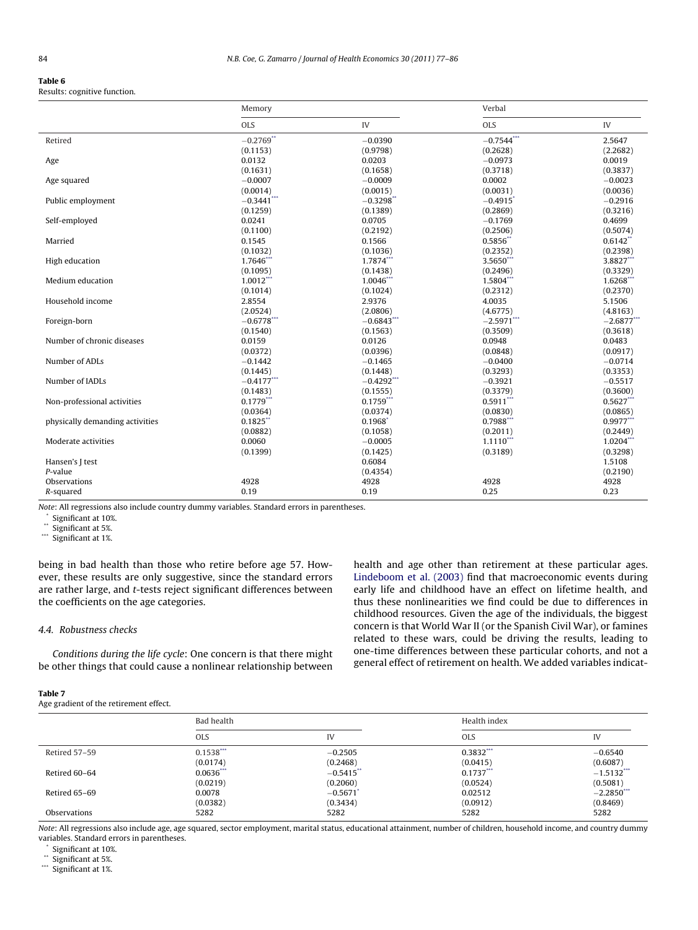<span id="page-7-0"></span>Results: cognitive function.

|                                 | Memory        |               | Verbal                 |              |
|---------------------------------|---------------|---------------|------------------------|--------------|
|                                 | <b>OLS</b>    | IV            | <b>OLS</b>             | IV           |
| Retired                         | $-0.2769$ **  | $-0.0390$     | $-0.7544$ ***          | 2.5647       |
|                                 | (0.1153)      | (0.9798)      | (0.2628)               | (2.2682)     |
| Age                             | 0.0132        | 0.0203        | $-0.0973$              | 0.0019       |
|                                 | (0.1631)      | (0.1658)      | (0.3718)               | (0.3837)     |
| Age squared                     | $-0.0007$     | $-0.0009$     | 0.0002                 | $-0.0023$    |
|                                 | (0.0014)      | (0.0015)      | (0.0031)               | (0.0036)     |
| Public employment               | $-0.3441***$  | $-0.3298$ **  | $-0.4915$ <sup>*</sup> | $-0.2916$    |
|                                 | (0.1259)      | (0.1389)      | (0.2869)               | (0.3216)     |
| Self-employed                   | 0.0241        | 0.0705        | $-0.1769$              | 0.4699       |
|                                 | (0.1100)      | (0.2192)      | (0.2506)               | (0.5074)     |
| Married                         | 0.1545        | 0.1566        | 0.5856**               | $0.6142$ **  |
|                                 | (0.1032)      | (0.1036)      | (0.2352)               | (0.2398)     |
| High education                  | 1.7646***     | 1.7874***     | 3.5650***              | 3.8827***    |
|                                 | (0.1095)      | (0.1438)      | (0.2496)               | (0.3329)     |
| Medium education                | $1.0012***$   | $1.0046***$   | 1.5804***              | $1.6268***$  |
|                                 | (0.1014)      | (0.1024)      | (0.2312)               | (0.2370)     |
| Household income                | 2.8554        | 2.9376        | 4.0035                 | 5.1506       |
|                                 | (2.0524)      | (2.0806)      | (4.6775)               | (4.8163)     |
| Foreign-born                    | $-0.6778$ *** | $-0.6843$ *** | $-2.5971$              | $-2.6877$ ** |
|                                 | (0.1540)      | (0.1563)      | (0.3509)               | (0.3618)     |
| Number of chronic diseases      | 0.0159        | 0.0126        | 0.0948                 | 0.0483       |
|                                 | (0.0372)      | (0.0396)      | (0.0848)               | (0.0917)     |
| Number of ADLs                  | $-0.1442$     | $-0.1465$     | $-0.0400$              | $-0.0714$    |
|                                 | (0.1445)      | (0.1448)      | (0.3293)               | (0.3353)     |
| Number of IADLs                 | $-0.4177$ **  | $-0.4292***$  | $-0.3921$              | $-0.5517$    |
|                                 | (0.1483)      | (0.1555)      | (0.3379)               | (0.3600)     |
| Non-professional activities     | $0.1779***$   | $0.1759***$   | $0.5911***$            | $0.5627***$  |
|                                 | (0.0364)      | (0.0374)      | (0.0830)               | (0.0865)     |
| physically demanding activities | 0.1825        | $0.1968*$     | $0.7988***$            | $0.9977***$  |
|                                 | (0.0882)      | (0.1058)      | (0.2011)               | (0.2449)     |
| Moderate activities             | 0.0060        | $-0.0005$     | $1.1110***$            | $1.0204***$  |
|                                 | (0.1399)      | (0.1425)      | (0.3189)               | (0.3298)     |
| Hansen's I test                 |               | 0.6084        |                        | 1.5108       |
| P-value                         |               | (0.4354)      |                        | (0.2190)     |
| Observations                    | 4928          | 4928          | 4928                   | 4928         |
| R-squared                       | 0.19          | 0.19          | 0.25                   | 0.23         |
| $-1 - 1 - 2 - 1 - 1 - 1 - 1$    | $-1.1 - -0.1$ |               |                        |              |

Note: All regressions also include country dummy variables. Standard errors in parentheses.

Significant at 10%.

Significant at 5%.

\*\*\* Significant at 1%.

being in bad health than those who retire before age 57. However, these results are only suggestive, since the standard errors are rather large, and t-tests reject significant differences between the coefficients on the age categories.

## 4.4. Robustness checks

Conditions during the life cycle: One concern is that there might be other things that could cause a nonlinear relationship between health and age other than retirement at these particular ages. [Lindeboom et al. \(2003\)](#page-9-0) find that macroeconomic events during early life and childhood have an effect on lifetime health, and thus these nonlinearities we find could be due to differences in childhood resources. Given the age of the individuals, the biggest concern is that World War II (or the Spanish Civil War), or famines related to these wars, could be driving the results, leading to one-time differences between these particular cohorts, and not a general effect of retirement on health. We added variables indicat-

## **Table 7**

Age gradient of the retirement effect.

|               | Bad health  |            |             |               |
|---------------|-------------|------------|-------------|---------------|
|               | <b>OLS</b>  | IV         | <b>OLS</b>  | IV            |
| Retired 57-59 | $0.1538***$ | $-0.2505$  | $0.3832***$ | $-0.6540$     |
|               | (0.0174)    | (0.2468)   | (0.0415)    | (0.6087)      |
| Retired 60-64 | $0.0636***$ | $-0.5415$  | $0.1737***$ | $-1.5132$ *** |
|               | (0.0219)    | (0.2060)   | (0.0524)    | (0.5081)      |
| Retired 65-69 | 0.0078      | $-0.5671'$ | 0.02512     | $-2.2850$ *** |
|               | (0.0382)    | (0.3434)   | (0.0912)    | (0.8469)      |
| Observations  | 5282        | 5282       | 5282        | 5282          |

Note: All regressions also include age, age squared, sector employment, marital status, educational attainment, number of children, household income, and country dummy variables. Standard errors in parentheses.

Significant at 10%.

\*\* Significant at 5%.

\*\*\* Significant at 1%.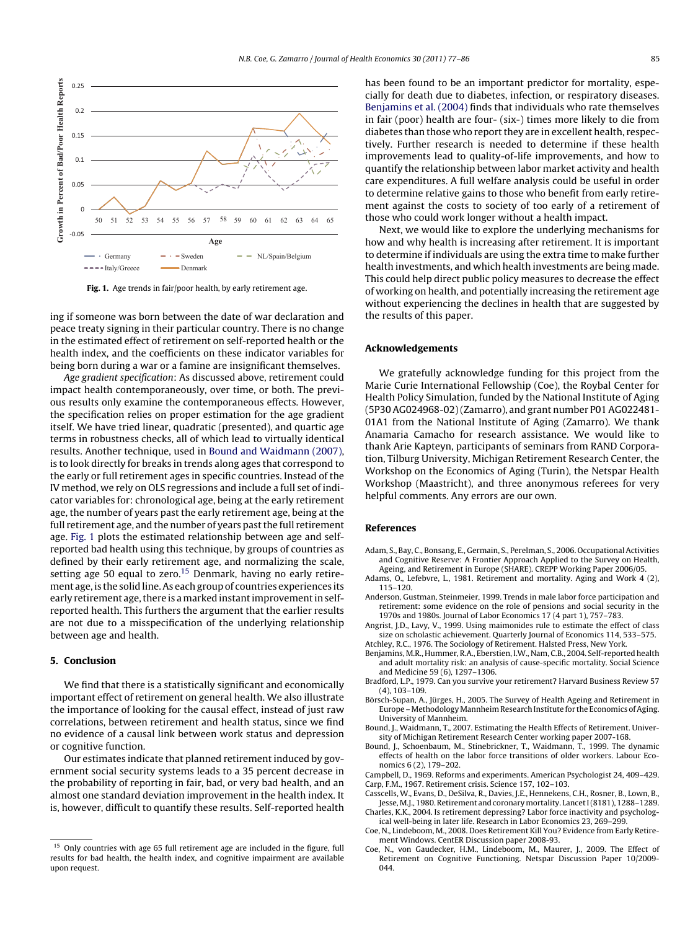<span id="page-8-0"></span>

**Fig. 1.** Age trends in fair/poor health, by early retirement age.

ing if someone was born between the date of war declaration and peace treaty signing in their particular country. There is no change in the estimated effect of retirement on self-reported health or the health index, and the coefficients on these indicator variables for being born during a war or a famine are insignificant themselves.

Age gradient specification: As discussed above, retirement could impact health contemporaneously, over time, or both. The previous results only examine the contemporaneous effects. However, the specification relies on proper estimation for the age gradient itself. We have tried linear, quadratic (presented), and quartic age terms in robustness checks, all of which lead to virtually identical results. Another technique, used in Bound and Waidmann (2007), is to look directly for breaks in trends along ages that correspond to the early or full retirement ages in specific countries. Instead of the IV method, we rely on OLS regressions and include a full set of indicator variables for: chronological age, being at the early retirement age, the number of years past the early retirement age, being at the full retirement age, and the number of years past the full retirement age. Fig. 1 plots the estimated relationship between age and selfreported bad health using this technique, by groups of countries as defined by their early retirement age, and normalizing the scale, setting age 50 equal to zero.<sup>15</sup> Denmark, having no early retirement age, is the solid line. As each group of countries experiences its early retirement age, there is amarked instant improvement in selfreported health. This furthers the argument that the earlier results are not due to a misspecification of the underlying relationship between age and health.

# **5. Conclusion**

We find that there is a statistically significant and economically important effect of retirement on general health. We also illustrate the importance of looking for the causal effect, instead of just raw correlations, between retirement and health status, since we find no evidence of a causal link between work status and depression or cognitive function.

Our estimates indicate that planned retirement induced by government social security systems leads to a 35 percent decrease in the probability of reporting in fair, bad, or very bad health, and an almost one standard deviation improvement in the health index. It is, however, difficult to quantify these results. Self-reported health

has been found to be an important predictor for mortality, especially for death due to diabetes, infection, or respiratory diseases. Benjamins et al. (2004) finds that individuals who rate themselves in fair (poor) health are four- (six-) times more likely to die from diabetes than those who report they are in excellent health, respectively. Further research is needed to determine if these health improvements lead to quality-of-life improvements, and how to quantify the relationship between labor market activity and health care expenditures. A full welfare analysis could be useful in order to determine relative gains to those who benefit from early retirement against the costs to society of too early of a retirement of those who could work longer without a health impact.

Next, we would like to explore the underlying mechanisms for how and why health is increasing after retirement. It is important to determine if individuals are using the extra time to make further health investments, and which health investments are being made. This could help direct public policy measures to decrease the effect of working on health, and potentially increasing the retirement age without experiencing the declines in health that are suggested by the results of this paper.

### **Acknowledgements**

We gratefully acknowledge funding for this project from the Marie Curie International Fellowship (Coe), the Roybal Center for Health Policy Simulation, funded by the National Institute of Aging (5P30 AG024968-02) (Zamarro), and grant number P01 AG022481- 01A1 from the National Institute of Aging (Zamarro). We thank Anamaria Camacho for research assistance. We would like to thank Arie Kapteyn, participants of seminars from RAND Corporation, Tilburg University, Michigan Retirement Research Center, the Workshop on the Economics of Aging (Turin), the Netspar Health Workshop (Maastricht), and three anonymous referees for very helpful comments. Any errors are our own.

#### **References**

044.

- Adam, S., Bay, C., Bonsang, E., Germain, S., Perelman, S., 2006. Occupational Activities and Cognitive Reserve: A Frontier Approach Applied to the Survey on Health, Ageing, and Retirement in Europe (SHARE). CREPP Working Paper 2006/05.
- Adams, O., Lefebvre, L., 1981. Retirement and mortality. Aging and Work 4 (2), 115–120.
- Anderson, Gustman, Steinmeier, 1999. Trends in male labor force participation and retirement: some evidence on the role of pensions and social security in the 1970s and 1980s. Journal of Labor Economics 17 (4 part 1), 757–783.
- Angrist, J.D., Lavy, V., 1999. Using maimonides rule to estimate the effect of class size on scholastic achievement. Quarterly Journal of Economics 114, 533–575. Atchley, R.C., 1976. The Sociology of Retirement. Halsted Press, New York.
- Benjamins, M.R., Hummer, R.A., Eberstien, I.W., Nam, C.B., 2004. Self-reported health and adult mortality risk: an analysis of cause-specific mortality. Social Science and Medicine 59 (6), 1297–1306.
- Bradford, L.P., 1979. Can you survive your retirement? Harvard Business Review 57 (4), 103–109.
- Börsch-Supan, A., Jürges, H., 2005. The Survey of Health Ageing and Retirement in Europe –MethodologyMannheim Research Institute for the Economics of Aging. University of Mannheim.
- Bound, J., Waidmann, T., 2007. Estimating the Health Effects of Retirement. University of Michigan Retirement Research Center working paper 2007-168.
- Bound, J., Schoenbaum, M., Stinebrickner, T., Waidmann, T., 1999. The dynamic effects of health on the labor force transitions of older workers. Labour Economics 6 (2), 179–202.

Campbell, D., 1969. Reforms and experiments. American Psychologist 24, 409–429. Carp, F.M., 1967. Retirement crisis. Science 157, 102–103.

- Casscells, W., Evans, D., DeSilva, R., Davies, J.E., Hennekens, C.H., Rosner, B., Lown, B., Jesse,M.J., 1980. Retirement and coronarymortality. Lancet I (8181), 1288–1289. Charles, K.K., 2004. Is retirement depressing? Labor force inactivity and psycholog-
- ical well-being in later life. Research in Labor Economics 23, 269–299. Coe, N., Lindeboom, M., 2008. Does Retirement Kill You? Evidence from Early Retire-
- ment Windows. CentER Discussion paper 2008-93. Coe, N., von Gaudecker, H.M., Lindeboom, M., Maurer, J., 2009. The Effect of Retirement on Cognitive Functioning. Netspar Discussion Paper 10/2009-

<sup>&</sup>lt;sup>15</sup> Only countries with age 65 full retirement age are included in the figure, full results for bad health, the health index, and cognitive impairment are available upon request.